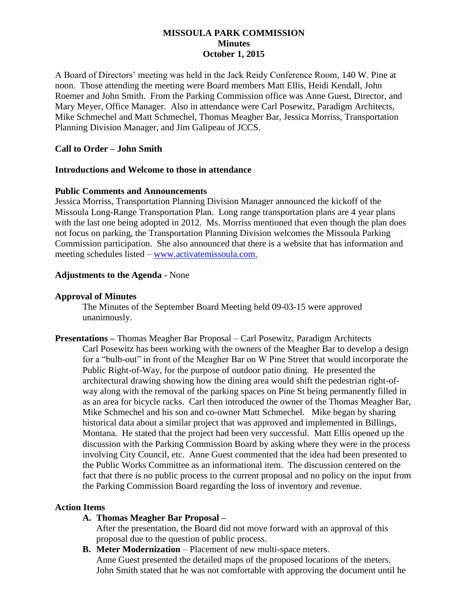## **MISSOULA PARK COMMISSION Minutes October 1, 2015**

A Board of Directors' meeting was held in the Jack Reidy Conference Room, 140 W. Pine at noon. Those attending the meeting were Board members Matt Ellis, Heidi Kendall, John Roemer and John Smith. From the Parking Commission office was Anne Guest, Director, and Mary Meyer, Office Manager. Also in attendance were Carl Posewitz, Paradigm Architects, Mike Schmechel and Matt Schmechel, Thomas Meagher Bar, Jessica Morriss, Transportation Planning Division Manager, and Jim Galipeau of JCCS.

### **Call to Order – John Smith**

### **Introductions and Welcome to those in attendance**

#### **Public Comments and Announcements**

Jessica Morriss, Transportation Planning Division Manager announced the kickoff of the Missoula Long-Range Transportation Plan. Long range transportation plans are 4 year plans with the last one being adopted in 2012. Ms. Morriss mentioned that even though the plan does not focus on parking, the Transportation Planning Division welcomes the Missoula Parking Commission participation. She also announced that there is a website that has information and meeting schedules listed – [www.activatemissoula.com.](http://www.activatemissoula.com/)

#### **Adjustments to the Agenda -** None

#### **Approval of Minutes**

The Minutes of the September Board Meeting held 09-03-15 were approved unanimously.

**Presentations –** Thomas Meagher Bar Proposal – Carl Posewitz, Paradigm Architects Carl Posewitz has been working with the owners of the Meagher Bar to develop a design for a "bulb-out" in front of the Meagher Bar on W Pine Street that would incorporate the Public Right-of-Way, for the purpose of outdoor patio dining. He presented the architectural drawing showing how the dining area would shift the pedestrian right-ofway along with the removal of the parking spaces on Pine St being permanently filled in as an area for bicycle racks. Carl then introduced the owner of the Thomas Meagher Bar, Mike Schmechel and his son and co-owner Matt Schmechel. Mike began by sharing historical data about a similar project that was approved and implemented in Billings, Montana. He stated that the project had been very successful. Matt Ellis opened up the discussion with the Parking Commission Board by asking where they were in the process involving City Council, etc. Anne Guest commented that the idea had been presented to the Public Works Committee as an informational item. The discussion centered on the fact that there is no public process to the current proposal and no policy on the input from the Parking Commission Board regarding the loss of inventory and revenue.

#### **Action Items**

**A. Thomas Meagher Bar Proposal –**

After the presentation, the Board did not move forward with an approval of this proposal due to the question of public process.

**B. Meter Modernization** – Placement of new multi-space meters. Anne Guest presented the detailed maps of the proposed locations of the meters. John Smith stated that he was not comfortable with approving the document until he